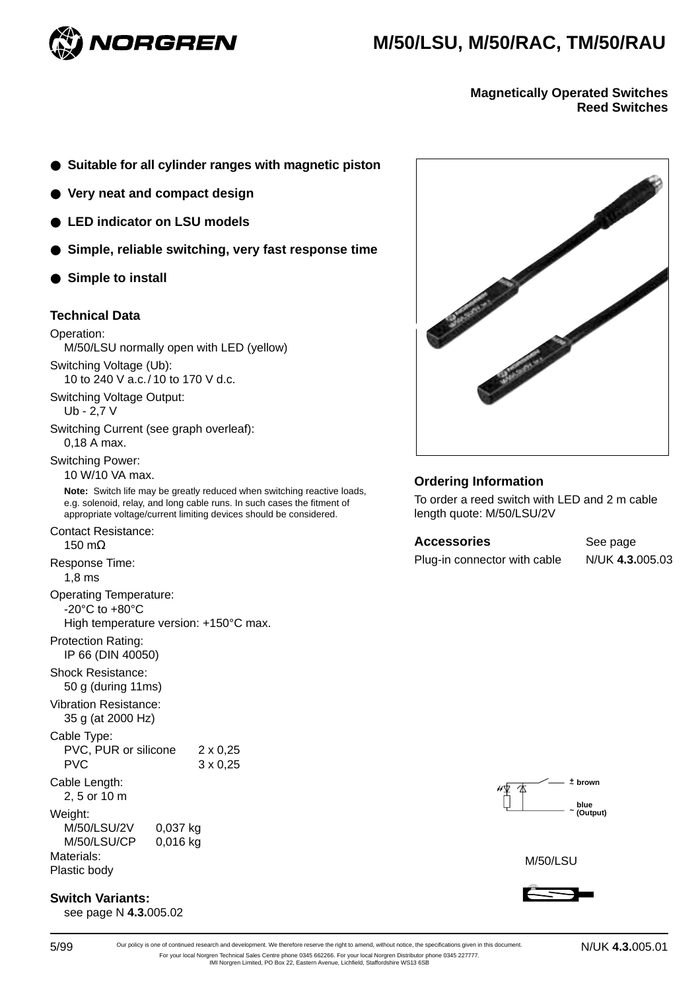

# **M/50/LSU, M/50/RAC, TM/50/RAU**

**Magnetically Operated Switches Reed Switches**

- **Suitable for all cylinder ranges with magnetic piston**
- **Very neat and compact design**
- LED indicator on LSU models
- **Simple, reliable switching, very fast response time**
- **Simple to install**

# **Technical Data**

#### Operation:

M/50/LSU normally open with LED (yellow) Switching Voltage (Ub):

10 to 240 V a.c./ 10 to 170 V d.c.

Switching Voltage Output:

Ub - 2,7 V

Switching Current (see graph overleaf): 0,18 A max.

Switching Power:

10 W/10 VA max.

**Note:** Switch life may be greatly reduced when switching reactive loads, e.g. solenoid, relay, and long cable runs. In such cases the fitment of appropriate voltage/current limiting devices should be considered.

Contact Resistance:

150 mΩ

Response Time: 1,8 ms

Operating Temperature: -20°C to +80°C High temperature version: +150°C max.

Protection Rating: IP 66 (DIN 40050)

Shock Resistance:

50 g (during 11ms) Vibration Resistance:

35 g (at 2000 Hz)

Cable Type: PVC, PUR or silicone 2 x 0,25 PVC 3 x 0,25

Cable Length:

2, 5 or 10 m

Weight: M/50/LSU/2V 0,037 kg M/50/LSU/CP 0,016 kg Materials:

Plastic body

### **Switch Variants:**

see page N **4.3.**005.02



# **Ordering Information**

To order a reed switch with LED and 2 m cable length quote: M/50/LSU/2V

Accessories See page Plug-in connector with cable N/UK **4.3.**005.03



M/50/LSU



5/99 Our policy is one of continued research and development. We therefore reserve the right to amend, without notice, the specifications given in this document. N/UK 4.3.005.01 For your local Norgren Technical Sales Centre phone 0345 662266. For your local Norgren Distributor phone 0345 227777. IMI Norgren Limited, PO Box 22, Eastern Avenue, Lichfield, Staffordshire WS13 6SB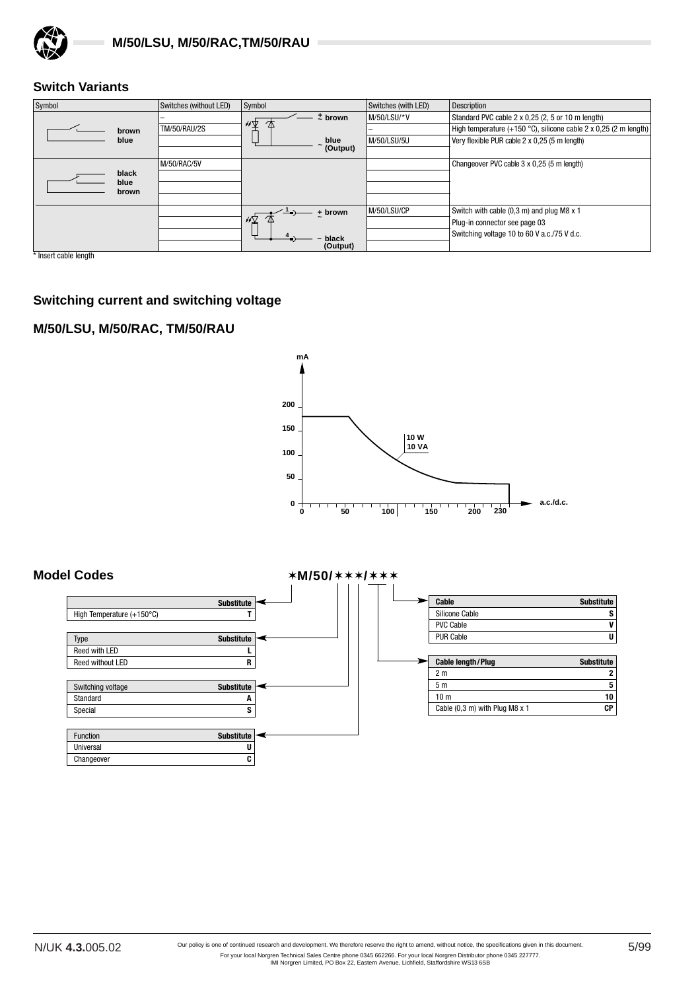

# **Switch Variants**

| Symbol        | Switches (without LED) | Symbol                  | Switches (with LED) | Description                                                                |
|---------------|------------------------|-------------------------|---------------------|----------------------------------------------------------------------------|
|               |                        | $±$ brown<br>$\sqrt{2}$ | M/50/LSU/*V         | Standard PVC cable 2 x 0,25 (2, 5 or 10 m length)                          |
| brown         | <b>TM/50/RAU/2S</b>    |                         |                     | High temperature (+150 $^{\circ}$ C), silicone cable 2 x 0.25 (2 m length) |
| blue          |                        | blue                    | M/50/LSU/5U         | Very flexible PUR cable 2 x 0,25 (5 m length)                              |
|               |                        | (Output)                |                     |                                                                            |
|               | M/50/RAC/5V            |                         |                     | Changeover PVC cable 3 x 0,25 (5 m length)                                 |
| black         |                        |                         |                     |                                                                            |
| blue<br>brown |                        |                         |                     |                                                                            |
|               |                        |                         |                     |                                                                            |
|               |                        | + brown                 | M/50/LSU/CP         | Switch with cable (0,3 m) and plug M8 x 1                                  |
|               |                        | $\sqrt{2}$              |                     | Plug-in connector see page 03                                              |
|               |                        | black                   |                     | Switching voltage 10 to 60 V a.c./75 V d.c.                                |
|               |                        | (Output)                |                     |                                                                            |

\* Insert cable length

# **Switching current and switching voltage**

# **M/50/LSU, M/50/RAC, TM/50/RAU**



#### **Model Codes** ✶**M/50/**✶✶✶**/**✶✶✶ **Switching voltage <b>Substitute Substitute** Standard **A** Special Special Special Special Special Special Special Special Special Special Special Special Special Special Special Special Special Special Special Special Special Special Special Special Special Special Special Specia **Cable** Substitute Silicone Cable **S**<br>PVC Cable **V PVC Cable** PUR Cable **U Substitute** High Temperature (+150°C) **T Cable length/Plug Substitute** 2 m **2** 5 m **5** 10 m **10** Cable (0,3 m) with Plug M8 x 1 **CP** Type **Substitute** Reed with LED<br>Reed without LED<br>Reed without LED<br>R **Reed without LED** Function **Substitute** Universal **U** Changeover **C**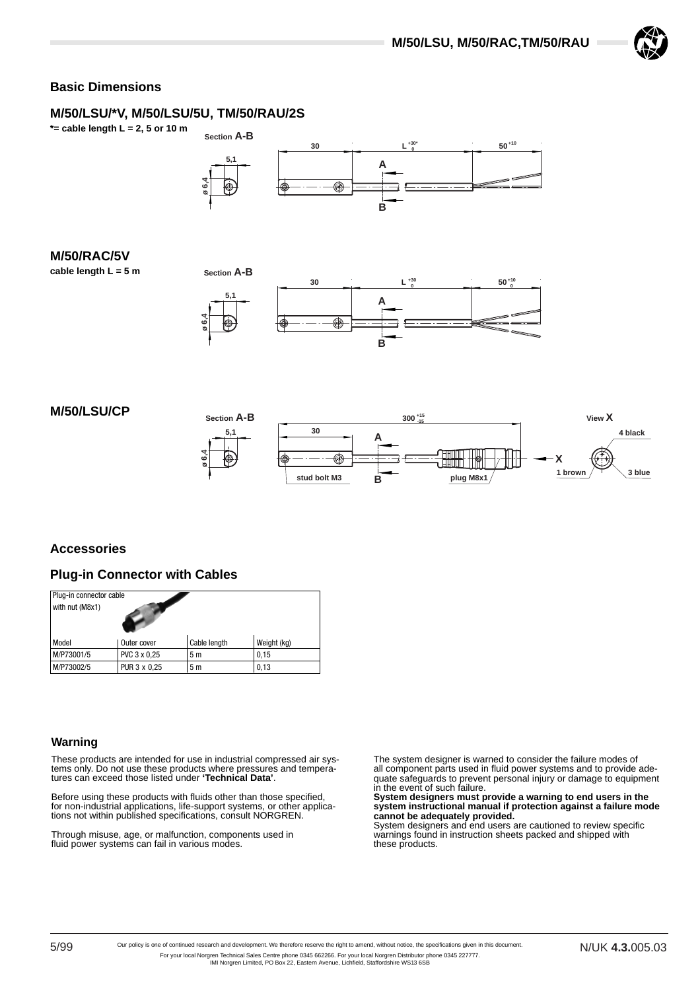

# **Basic Dimensions**

# **M/50/LSU/\*V, M/50/LSU/5U, TM/50/RAU/2S**

**\*= cable length L = 2, 5 or 10 m**



# **M/50/RAC/5V**

**cable length L = 5 m**





# **M/50/LSU/CP**





# **Accessories**

### **Plug-in Connector with Cables**

| Plug-in connector cable<br>with nut (M8x1) |              |              |             |  |  |
|--------------------------------------------|--------------|--------------|-------------|--|--|
| Model                                      | Outer cover  | Cable length | Weight (kg) |  |  |
| M/P73001/5                                 | PVC 3 x 0,25 | 5m           | 0,15        |  |  |
| M/P73002/5                                 | PUR 3 x 0,25 | 5 m          | 0,13        |  |  |

### **Warning**

These products are intended for use in industrial compressed air systems only. Do not use these products where pressures and temperatures can exceed those listed under **'Technical Data'**.

Before using these products with fluids other than those specified, for non-industrial applications, life-support systems, or other applications not within published specifications, consult NORGREN.

Through misuse, age, or malfunction, components used in fluid power systems can fail in various modes.

The system designer is warned to consider the failure modes of all component parts used in fluid power systems and to provide adequate safeguards to prevent personal injury or damage to equipment

in the event of such failure. **System designers must provide a warning to end users in the system instructional manual if protection against a failure mode cannot be adequately provided.**

System designers and end users are cautioned to review specific warnings found in instruction sheets packed and shipped with these products.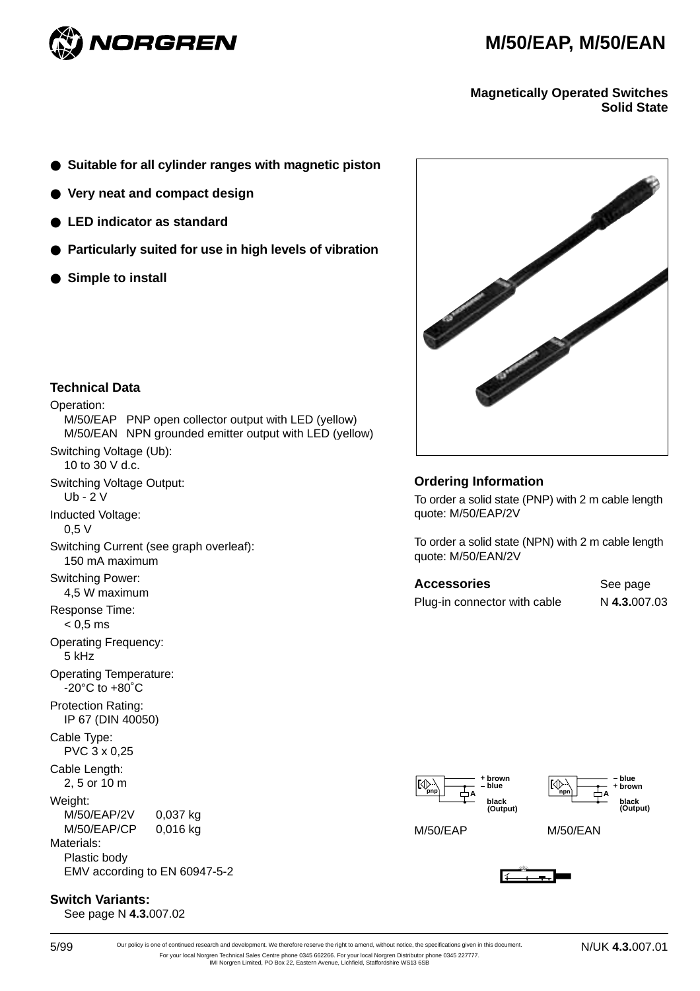



**Magnetically Operated Switches Solid State**

- **Suitable for all cylinder ranges with magnetic piston**
- **Very neat and compact design**
- **LED indicator as standard**
- **Particularly suited for use in high levels of vibration**
- **Simple to install**



**Ordering Information** 

To order a solid state (PNP) with 2 m cable length quote: M/50/EAP/2V

To order a solid state (NPN) with 2 m cable length quote: M/50/EAN/2V

| <b>Accessories</b>           | See page     |
|------------------------------|--------------|
| Plug-in connector with cable | N 4.3.007.03 |



# **Technical Data**

Operation: M/50/EAP PNP open collector output with LED (yellow) M/50/EAN NPN grounded emitter output with LED (yellow) Switching Voltage (Ub): 10 to 30 V d.c. Switching Voltage Output: Ub - 2 V Inducted Voltage: 0,5 V Switching Current (see graph overleaf): 150 mA maximum Switching Power: 4,5 W maximum Response Time:  $< 0.5$  ms Operating Frequency: 5 kHz Operating Temperature:  $-20^{\circ}$ C to  $+80^{\circ}$ C Protection Rating: IP 67 (DIN 40050) Cable Type: PVC 3 x 0,25 Cable Length: 2, 5 or 10 m Weight: M/50/EAP/2V 0,037 kg M/50/EAP/CP 0,016 kg Materials:

Plastic body EMV according to EN 60947-5-2

# **Switch Variants:**

See page N **4.3.**007.02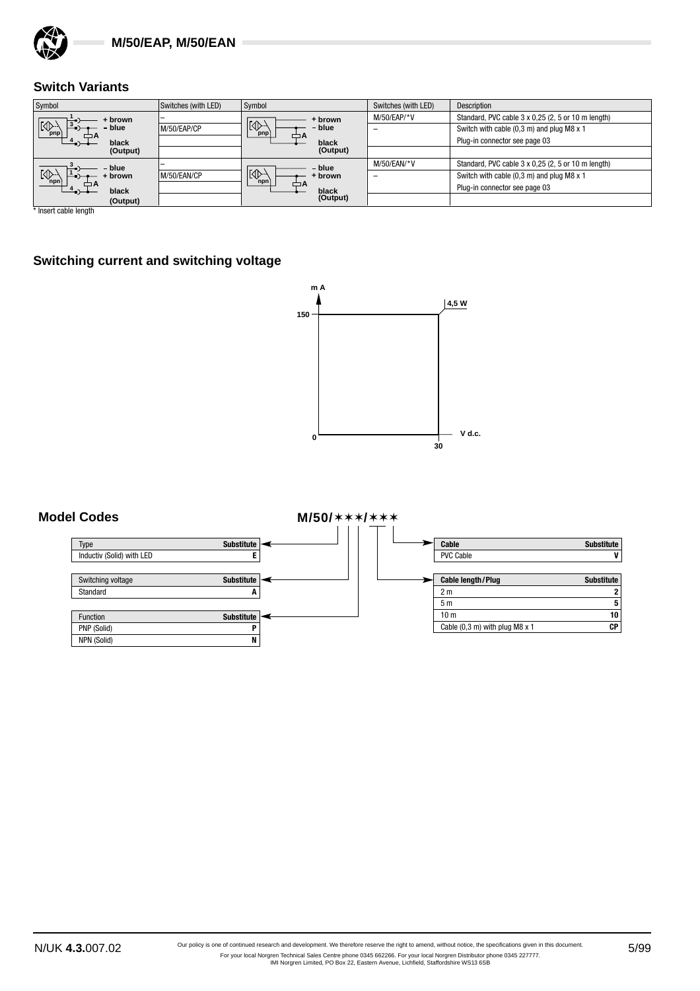

# **Switch Variants**

| Symbol                          | Switches (with LED) | Symbol                      | Switches (with LED) | <b>Description</b>                                 |
|---------------------------------|---------------------|-----------------------------|---------------------|----------------------------------------------------|
| + brown                         |                     | + brown                     | $M/50/EAP/*V$       | Standard, PVC cable 3 x 0,25 (2, 5 or 10 m length) |
| $ \mathbb{Q}^2$<br>blue<br>pnp) | M/50/EAP/CP         | $ N\rangle$<br>blue<br>pnp) | -                   | Switch with cable (0,3 m) and plug M8 x 1          |
| black                           |                     | black                       |                     | Plug-in connector see page 03                      |
| (Output)                        |                     | (Output)                    |                     |                                                    |
| blue                            |                     | - blue                      | $M/50$ /EAN/*V      | Standard, PVC cable 3 x 0,25 (2, 5 or 10 m length) |
| $\sqrt{\mathbb{Q}}$<br>brown    | M/50/EAN/CP         | $\mathbb{R}^n$<br>· brown   | -                   | Switch with cable (0,3 m) and plug M8 x 1          |
| black                           |                     | npn<br>black                |                     | Plug-in connector see page 03                      |
| (Output)                        |                     | (Output)                    |                     |                                                    |

\* Insert cable length

# **Switching current and switching voltage**